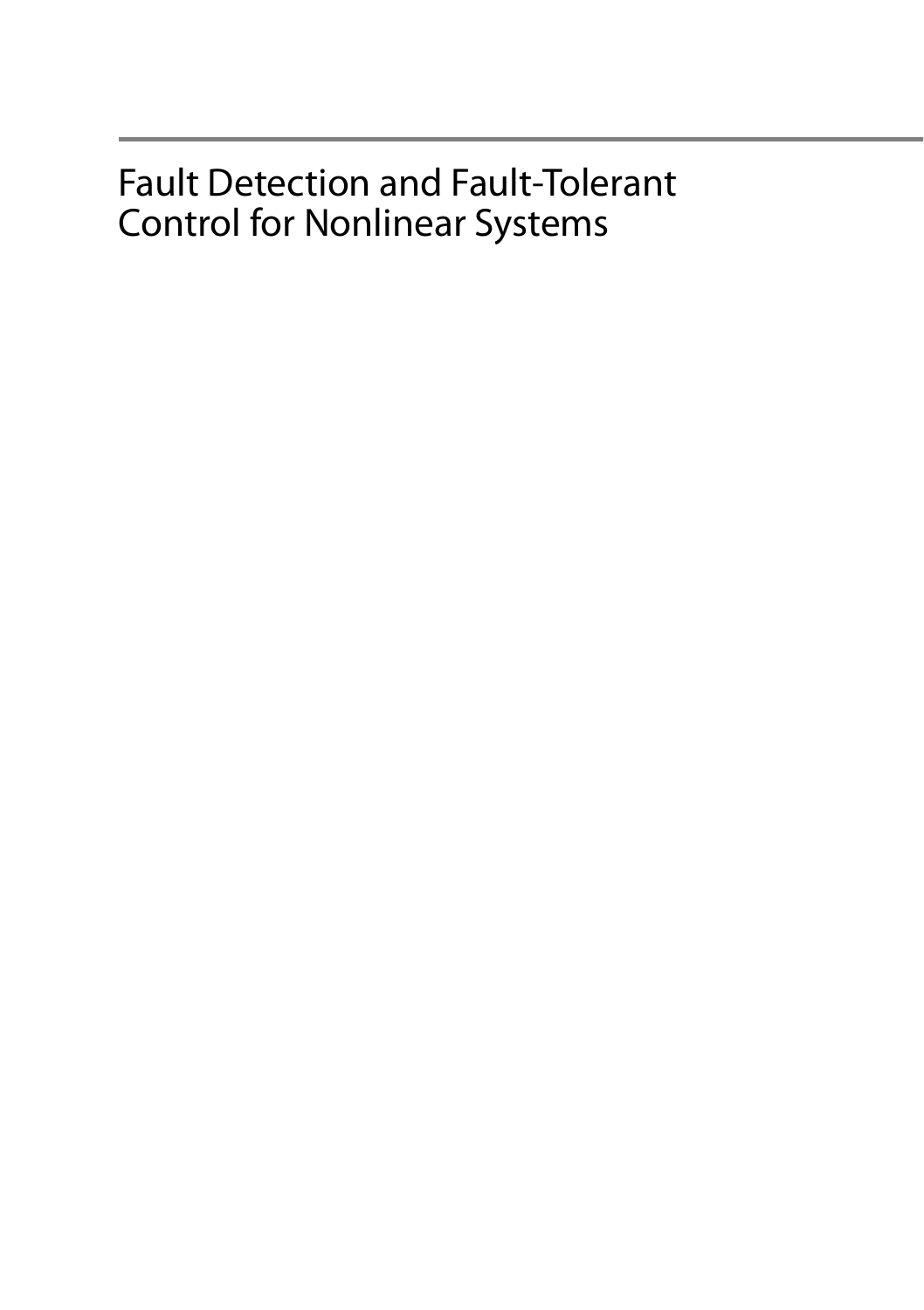#### Fault Detection and Fault-Tolerant Control for Nonlinear Systems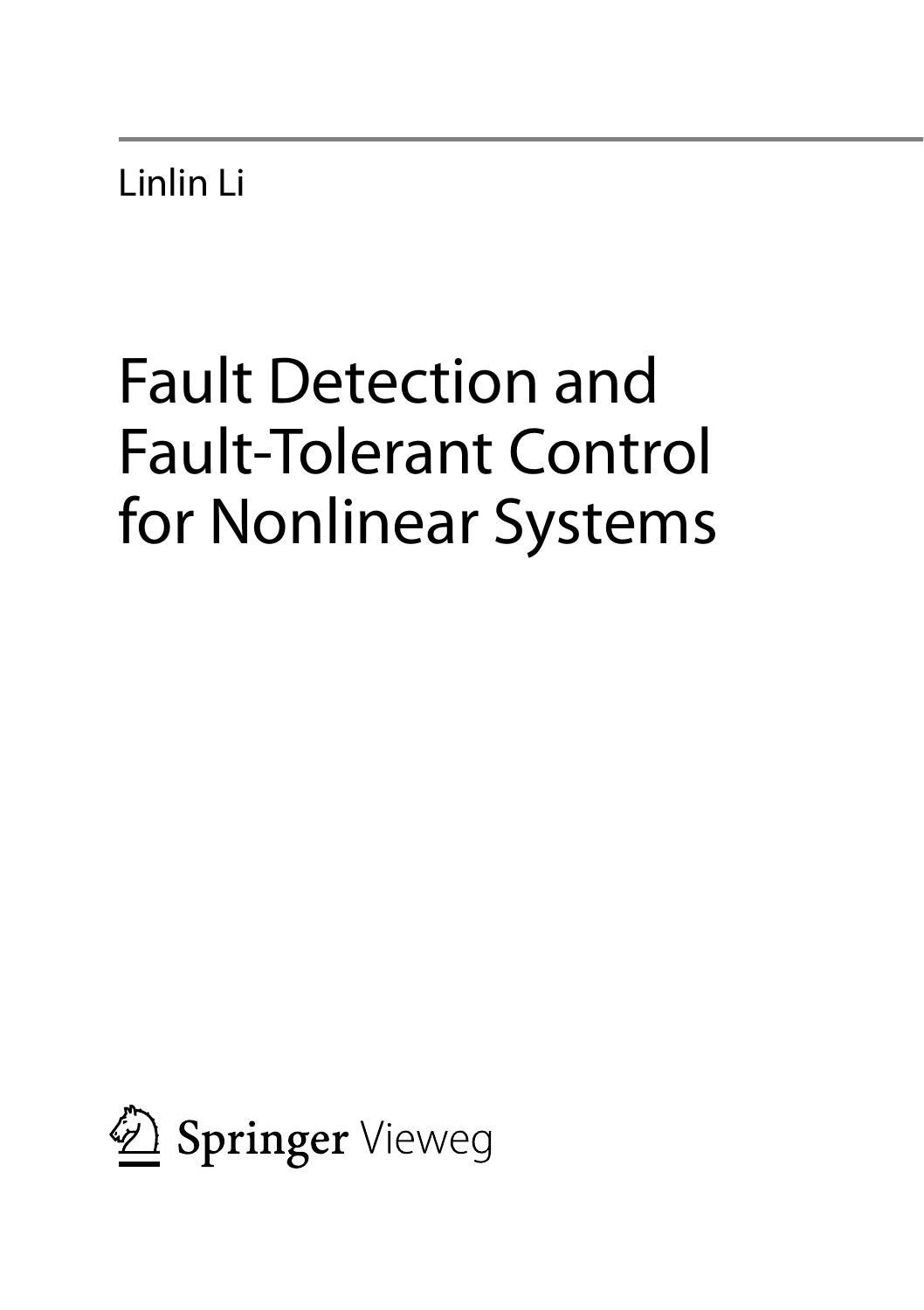Linlin Li

# Fault Detection and Fault-Tolerant Control for Nonlinear Systems

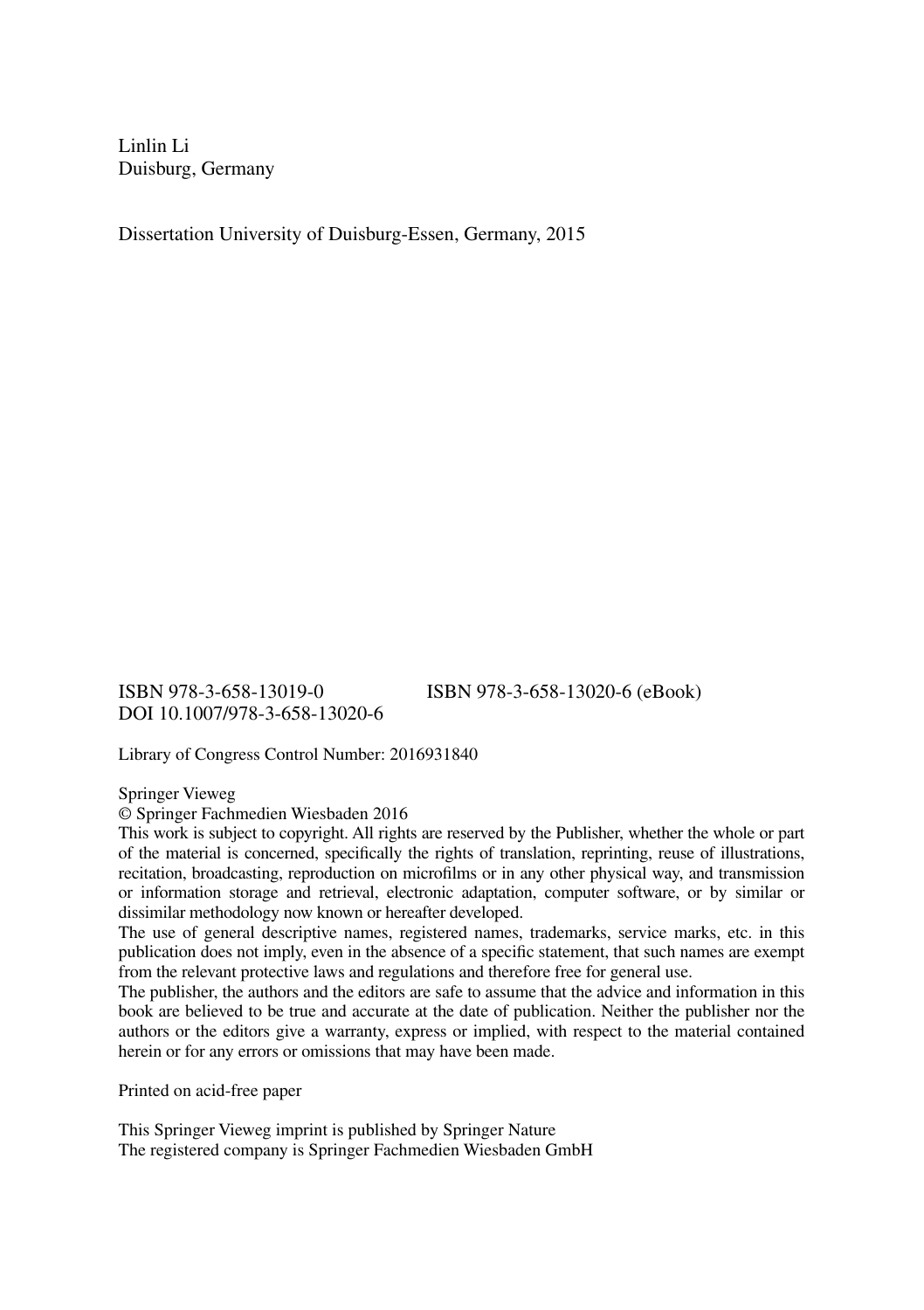Linlin Li Duisburg, Germany

Dissertation University of Duisburg-Essen, Germany, 2015

DOI 10.1007/978-3-658-13020-6

ISBN 978-3-658-13019-0 ISBN 978-3-658-13020-6 (eBook)

Library of Congress Control Number: 2016931840

Springer Vieweg

© Springer Fachmedien Wiesbaden 2016

This work is subject to copyright. All rights are reserved by the Publisher, whether the whole or part of the material is concerned, specifically the rights of translation, reprinting, reuse of illustrations, recitation, broadcasting, reproduction on microfilms or in any other physical way, and transmission or information storage and retrieval, electronic adaptation, computer software, or by similar or dissimilar methodology now known or hereafter developed.

The use of general descriptive names, registered names, trademarks, service marks, etc. in this publication does not imply, even in the absence of a specific statement, that such names are exempt from the relevant protective laws and regulations and therefore free for general use.

The publisher, the authors and the editors are safe to assume that the advice and information in this book are believed to be true and accurate at the date of publication. Neither the publisher nor the authors or the editors give a warranty, express or implied, with respect to the material contained herein or for any errors or omissions that may have been made.

Printed on acid-free paper

This Springer Vieweg imprint is published by Springer Nature The registered company is Springer Fachmedien Wiesbaden GmbH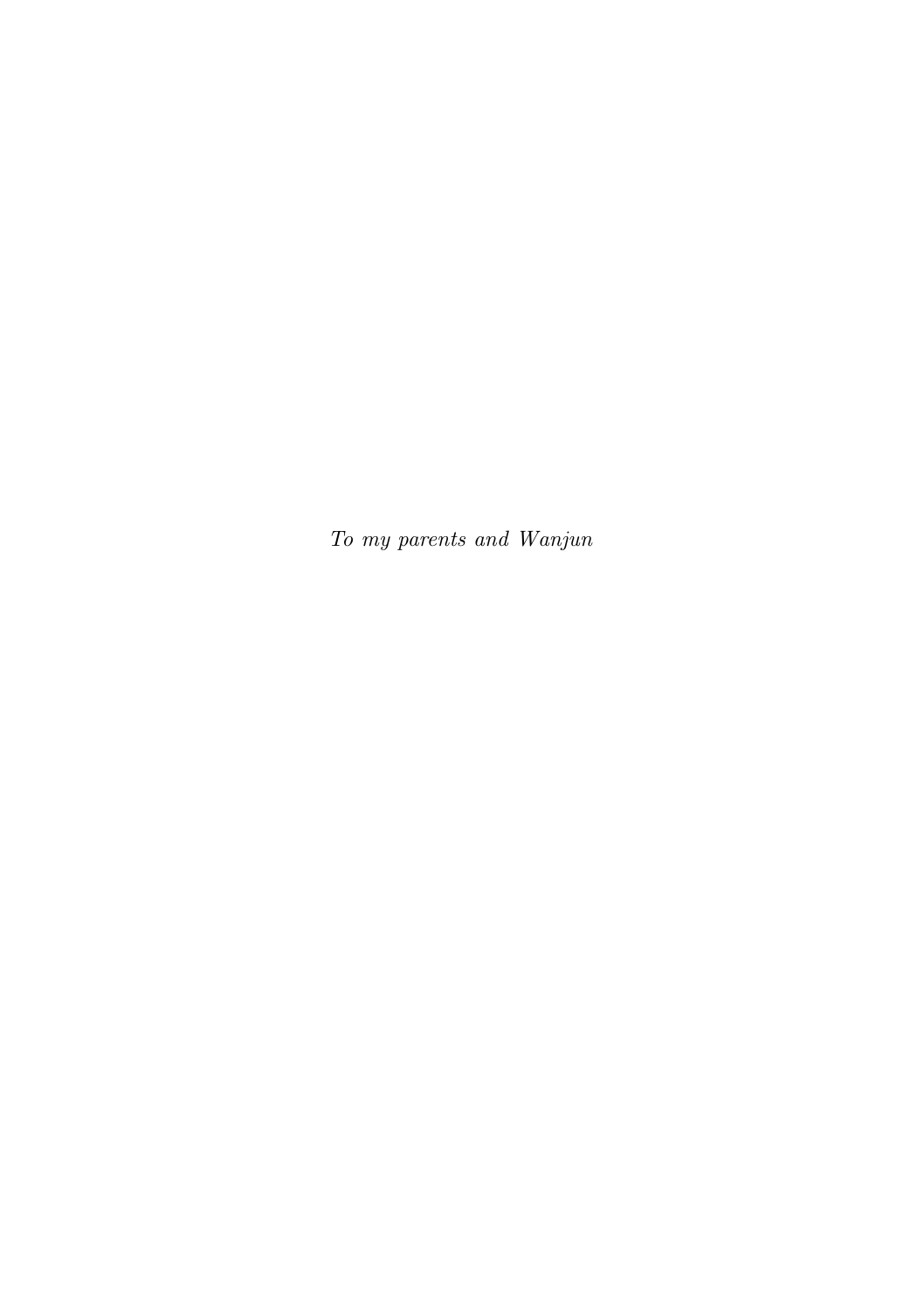<span id="page-3-0"></span>To my parents and Wanjun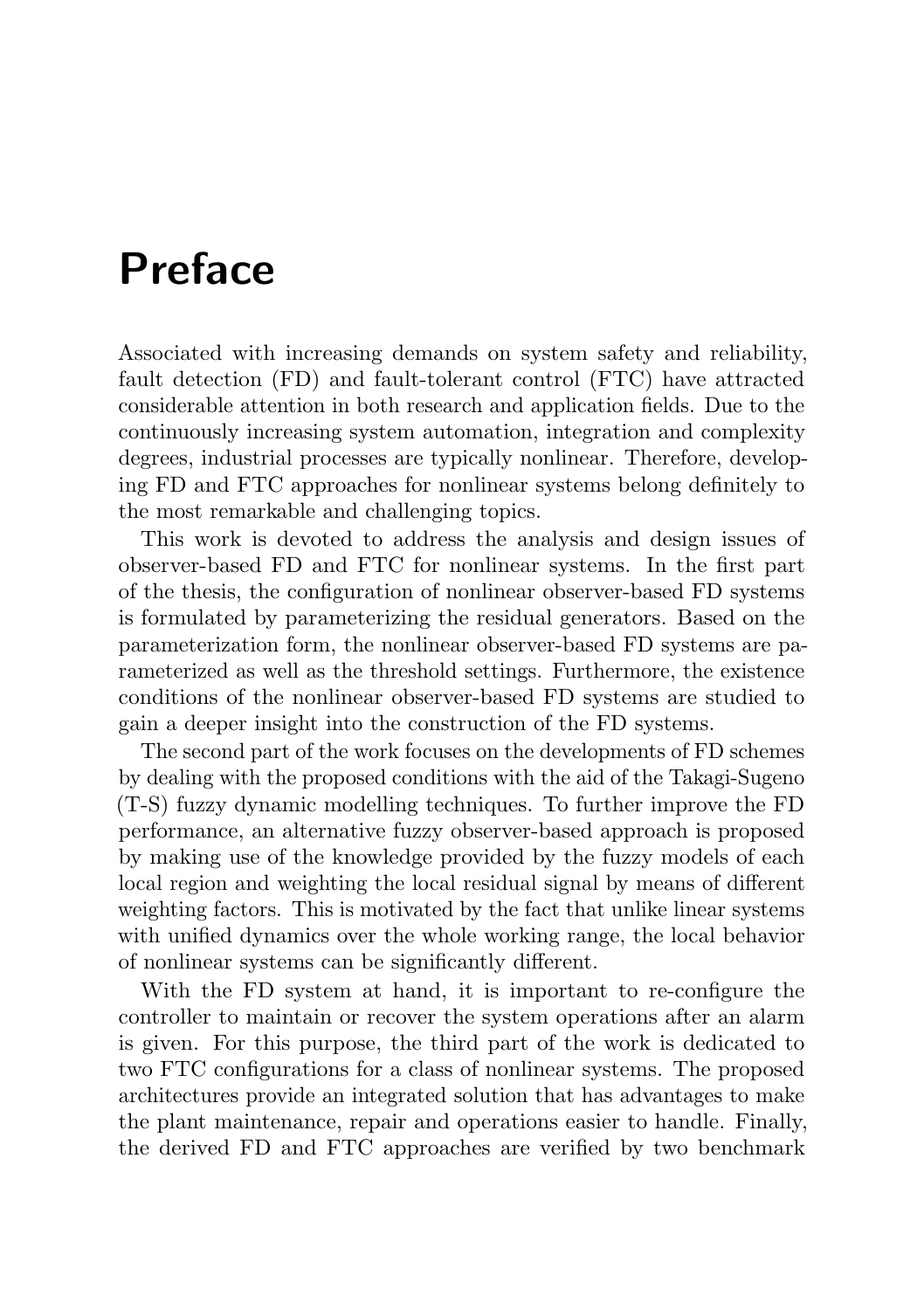#### Preface

Associated with increasing demands on system safety and reliability, fault detection (FD) and fault-tolerant control (FTC) have attracted considerable attention in both research and application fields. Due to the continuously increasing system automation, integration and complexity degrees, industrial processes are typically nonlinear. Therefore, developing FD and FTC approaches for nonlinear systems belong definitely to the most remarkable and challenging topics.

This work is devoted to address the analysis and design issues of observer-based FD and FTC for nonlinear systems. In the first part of the thesis, the configuration of nonlinear observer-based FD systems is formulated by parameterizing the residual generators. Based on the parameterization form, the nonlinear observer-based FD systems are parameterized as well as the threshold settings. Furthermore, the existence conditions of the nonlinear observer-based FD systems are studied to gain a deeper insight into the construction of the FD systems.

The second part of the work focuses on the developments of FD schemes by dealing with the proposed conditions with the aid of the Takagi-Sugeno (T-S) fuzzy dynamic modelling techniques. To further improve the FD performance, an alternative fuzzy observer-based approach is proposed by making use of the knowledge provided by the fuzzy models of each local region and weighting the local residual signal by means of different weighting factors. This is motivated by the fact that unlike linear systems with unified dynamics over the whole working range, the local behavior of nonlinear systems can be significantly different.

With the FD system at hand, it is important to re-configure the controller to maintain or recover the system operations after an alarm is given. For this purpose, the third part of the work is dedicated to two FTC configurations for a class of nonlinear systems. The proposed architectures provide an integrated solution that has advantages to make the plant maintenance, repair and operations easier to handle. Finally, the derived FD and FTC approaches are verified by two benchmark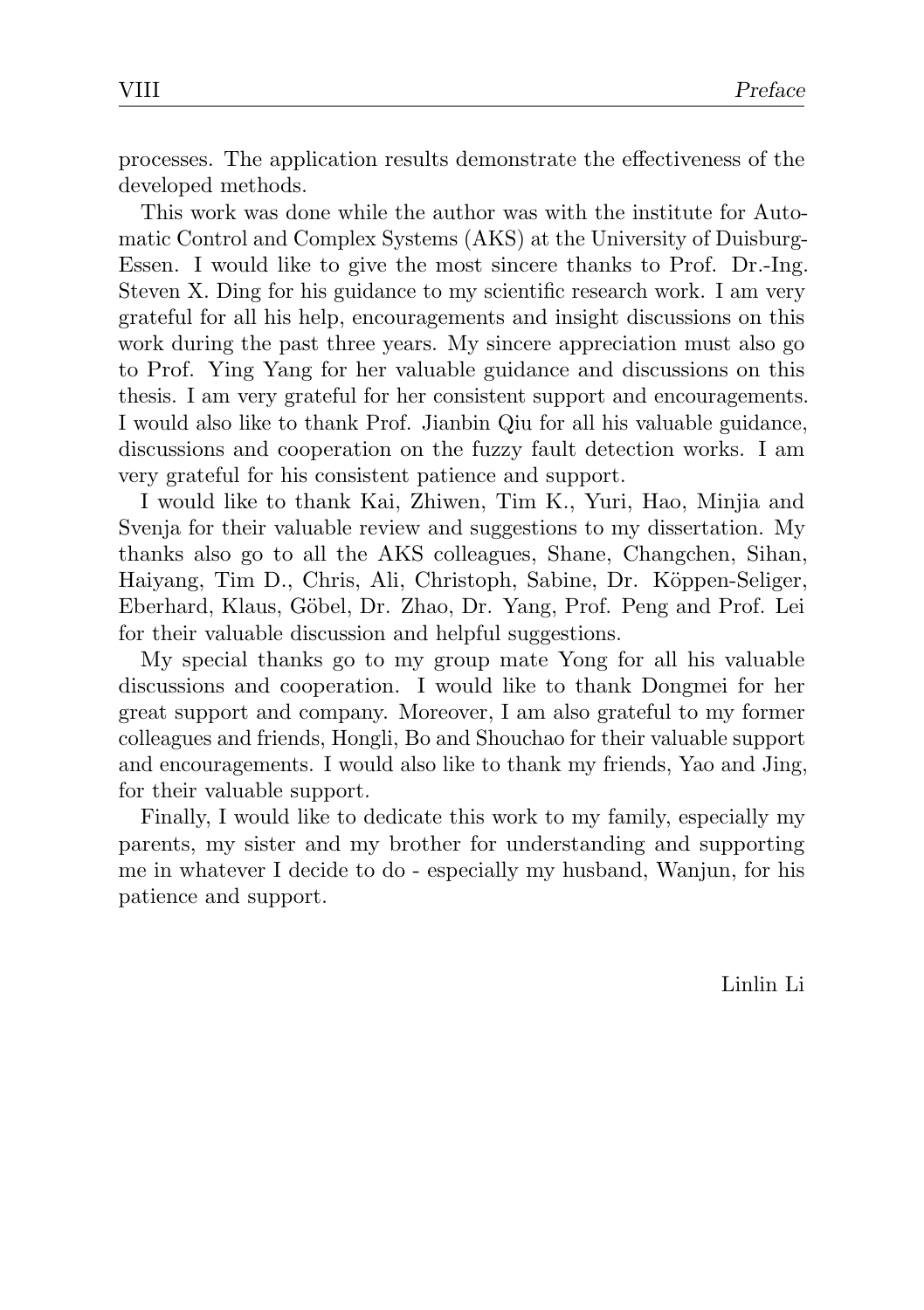processes. The application results demonstrate the effectiveness of the developed methods.

This work was done while the author was with the institute for Automatic Control and Complex Systems (AKS) at the University of Duisburg-Essen. I would like to give the most sincere thanks to Prof. Dr.-Ing. Steven X. Ding for his guidance to my scientific research work. I am very grateful for all his help, encouragements and insight discussions on this work during the past three years. My sincere appreciation must also go to Prof. Ying Yang for her valuable guidance and discussions on this thesis. I am very grateful for her consistent support and encouragements. I would also like to thank Prof. Jianbin Qiu for all his valuable guidance, discussions and cooperation on the fuzzy fault detection works. I am very grateful for his consistent patience and support.

I would like to thank Kai, Zhiwen, Tim K., Yuri, Hao, Minjia and Svenja for their valuable review and suggestions to my dissertation. My thanks also go to all the AKS colleagues, Shane, Changchen, Sihan, Haiyang, Tim D., Chris, Ali, Christoph, Sabine, Dr. Köppen-Seliger, Eberhard, Klaus, G¨obel, Dr. Zhao, Dr. Yang, Prof. Peng and Prof. Lei for their valuable discussion and helpful suggestions.

My special thanks go to my group mate Yong for all his valuable discussions and cooperation. I would like to thank Dongmei for her great support and company. Moreover, I am also grateful to my former colleagues and friends, Hongli, Bo and Shouchao for their valuable support and encouragements. I would also like to thank my friends, Yao and Jing, for their valuable support.

Finally, I would like to dedicate this work to my family, especially my parents, my sister and my brother for understanding and supporting me in whatever I decide to do - especially my husband, Wanjun, for his patience and support.

Linlin Li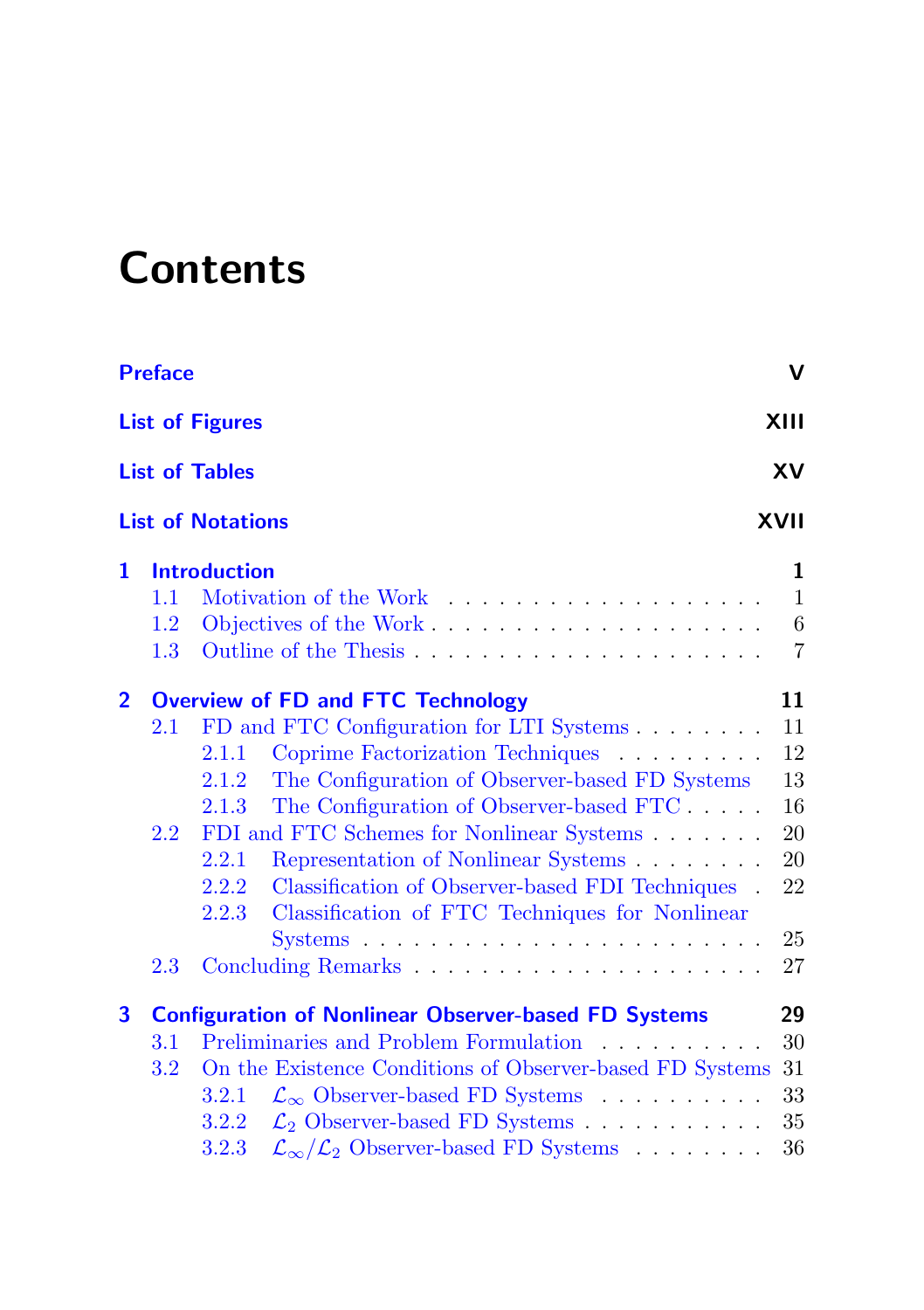### **Contents**

|                | <b>Preface</b>        |                          |                                                                                                                                                                                                                        | v                                                       |
|----------------|-----------------------|--------------------------|------------------------------------------------------------------------------------------------------------------------------------------------------------------------------------------------------------------------|---------------------------------------------------------|
|                |                       | <b>List of Figures</b>   |                                                                                                                                                                                                                        | XIII                                                    |
|                |                       | <b>List of Tables</b>    |                                                                                                                                                                                                                        | XV                                                      |
|                |                       | <b>List of Notations</b> |                                                                                                                                                                                                                        | XVII                                                    |
| 1.             | 1.1<br>$1.2\,$<br>1.3 | <b>Introduction</b>      | Motivation of the Work                                                                                                                                                                                                 | $\mathbf{1}$<br>$\mathbf{1}$<br>$\,6$<br>$\overline{7}$ |
| $\overline{2}$ |                       |                          | <b>Overview of FD and FTC Technology</b>                                                                                                                                                                               | 11                                                      |
|                | $2.1\,$<br>2.2        | 2.1.1<br>2.1.2<br>2.1.3  | FD and FTC Configuration for LTI Systems<br>Coprime Factorization Techniques<br>The Configuration of Observer-based FD Systems<br>The Configuration of Observer-based FTC<br>FDI and FTC Schemes for Nonlinear Systems | 11<br>12<br>13<br>16<br>20                              |
|                | 2.3                   | 2.2.1<br>2.2.2<br>2.2.3  | Representation of Nonlinear Systems<br>Classification of Observer-based FDI Techniques.<br>Classification of FTC Techniques for Nonlinear<br>$\text{Systems} \dots \dots \dots \dots \dots \dots \dots \dots \dots$    | $20\,$<br>22<br>25<br>27                                |
| 3              |                       |                          | <b>Configuration of Nonlinear Observer-based FD Systems</b>                                                                                                                                                            | 29                                                      |
|                | 3.1<br>$3.2\,$        | 3.2.1<br>3.2.2<br>3.2.3  | Preliminaries and Problem Formulation<br>On the Existence Conditions of Observer-based FD Systems<br>$\mathcal{L}_{\infty}$ Observer-based FD Systems<br>$\mathcal{L}_2$ Observer-based FD Systems                     | 30<br>31<br>33<br>35<br>36                              |
|                |                       |                          | $\mathcal{L}_{\infty}/\mathcal{L}_2$ Observer-based FD Systems                                                                                                                                                         |                                                         |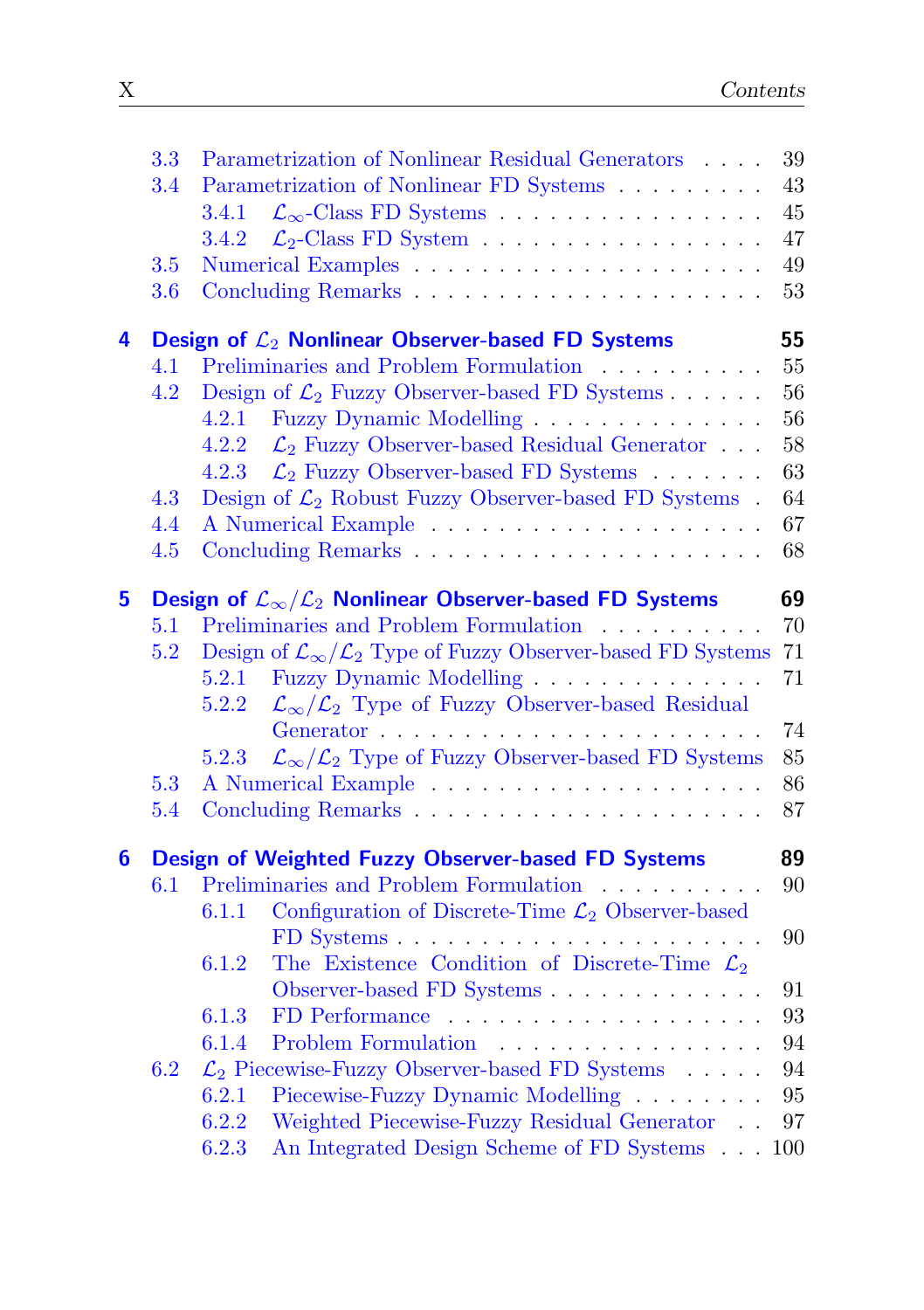|   | 3.3 |                                                                                          | Parametrization of Nonlinear Residual Generators                                            | 39  |  |  |
|---|-----|------------------------------------------------------------------------------------------|---------------------------------------------------------------------------------------------|-----|--|--|
|   | 3.4 |                                                                                          | Parametrization of Nonlinear FD Systems                                                     | 43  |  |  |
|   |     | 3.4.1                                                                                    | $\mathcal{L}_{\infty}$ -Class FD Systems                                                    | 45  |  |  |
|   |     | 3.4.2                                                                                    | $\mathcal{L}_2$ -Class FD System                                                            | 47  |  |  |
|   | 3.5 |                                                                                          |                                                                                             | 49  |  |  |
|   | 3.6 |                                                                                          |                                                                                             | 53  |  |  |
| 4 |     |                                                                                          | Design of $\mathcal{L}_2$ Nonlinear Observer-based FD Systems                               | 55  |  |  |
|   | 4.1 |                                                                                          | Preliminaries and Problem Formulation                                                       | 55  |  |  |
|   | 4.2 |                                                                                          | Design of $\mathcal{L}_2$ Fuzzy Observer-based FD Systems                                   | 56  |  |  |
|   |     | 4.2.1                                                                                    | Fuzzy Dynamic Modelling                                                                     | 56  |  |  |
|   |     | 4.2.2                                                                                    | $\mathcal{L}_2$ Fuzzy Observer-based Residual Generator                                     | 58  |  |  |
|   |     | 4.2.3                                                                                    | $\mathcal{L}_2$ Fuzzy Observer-based FD Systems                                             | 63  |  |  |
|   | 4.3 |                                                                                          | Design of $\mathcal{L}_2$ Robust Fuzzy Observer-based FD Systems.                           | 64  |  |  |
|   | 4.4 |                                                                                          |                                                                                             | 67  |  |  |
|   | 4.5 |                                                                                          |                                                                                             | 68  |  |  |
| 5 |     | 69<br>Design of $\mathcal{L}_{\infty}/\mathcal{L}_2$ Nonlinear Observer-based FD Systems |                                                                                             |     |  |  |
|   | 5.1 |                                                                                          | Preliminaries and Problem Formulation<br>$\mathbf{r}$ . The state of the state $\mathbf{r}$ | 70  |  |  |
|   | 5.2 |                                                                                          | Design of $\mathcal{L}_{\infty}/\mathcal{L}_2$ Type of Fuzzy Observer-based FD Systems      | 71  |  |  |
|   |     | 5.2.1                                                                                    | Fuzzy Dynamic Modelling                                                                     | 71  |  |  |
|   |     | 5.2.2                                                                                    | $\mathcal{L}_{\infty}/\mathcal{L}_2$ Type of Fuzzy Observer-based Residual                  |     |  |  |
|   |     |                                                                                          |                                                                                             | 74  |  |  |
|   |     | 5.2.3                                                                                    | $\mathcal{L}_{\infty}/\mathcal{L}_2$ Type of Fuzzy Observer-based FD Systems                | 85  |  |  |
|   | 5.3 |                                                                                          |                                                                                             | 86  |  |  |
|   | 5.4 |                                                                                          |                                                                                             | 87  |  |  |
| 6 |     |                                                                                          | Design of Weighted Fuzzy Observer-based FD Systems                                          | 89  |  |  |
|   | 6.1 |                                                                                          | Preliminaries and Problem Formulation                                                       | 90  |  |  |
|   |     | 6.1.1                                                                                    | Configuration of Discrete-Time $\mathcal{L}_2$ Observer-based                               |     |  |  |
|   |     |                                                                                          |                                                                                             | 90  |  |  |
|   |     | 6.1.2                                                                                    | The Existence Condition of Discrete-Time $\mathcal{L}_2$                                    |     |  |  |
|   |     |                                                                                          | Observer-based FD Systems                                                                   | 91  |  |  |
|   |     | 6.1.3                                                                                    |                                                                                             | 93  |  |  |
|   |     | 6.1.4                                                                                    | Problem Formulation                                                                         | 94  |  |  |
|   | 6.2 |                                                                                          | $\mathcal{L}_2$ Piecewise-Fuzzy Observer-based FD Systems $\ldots$ .                        | 94  |  |  |
|   |     | 6.2.1                                                                                    | Piecewise-Fuzzy Dynamic Modelling                                                           | 95  |  |  |
|   |     | 6.2.2                                                                                    | Weighted Piecewise-Fuzzy Residual Generator                                                 | 97  |  |  |
|   |     | 6.2.3                                                                                    | An Integrated Design Scheme of FD Systems                                                   | 100 |  |  |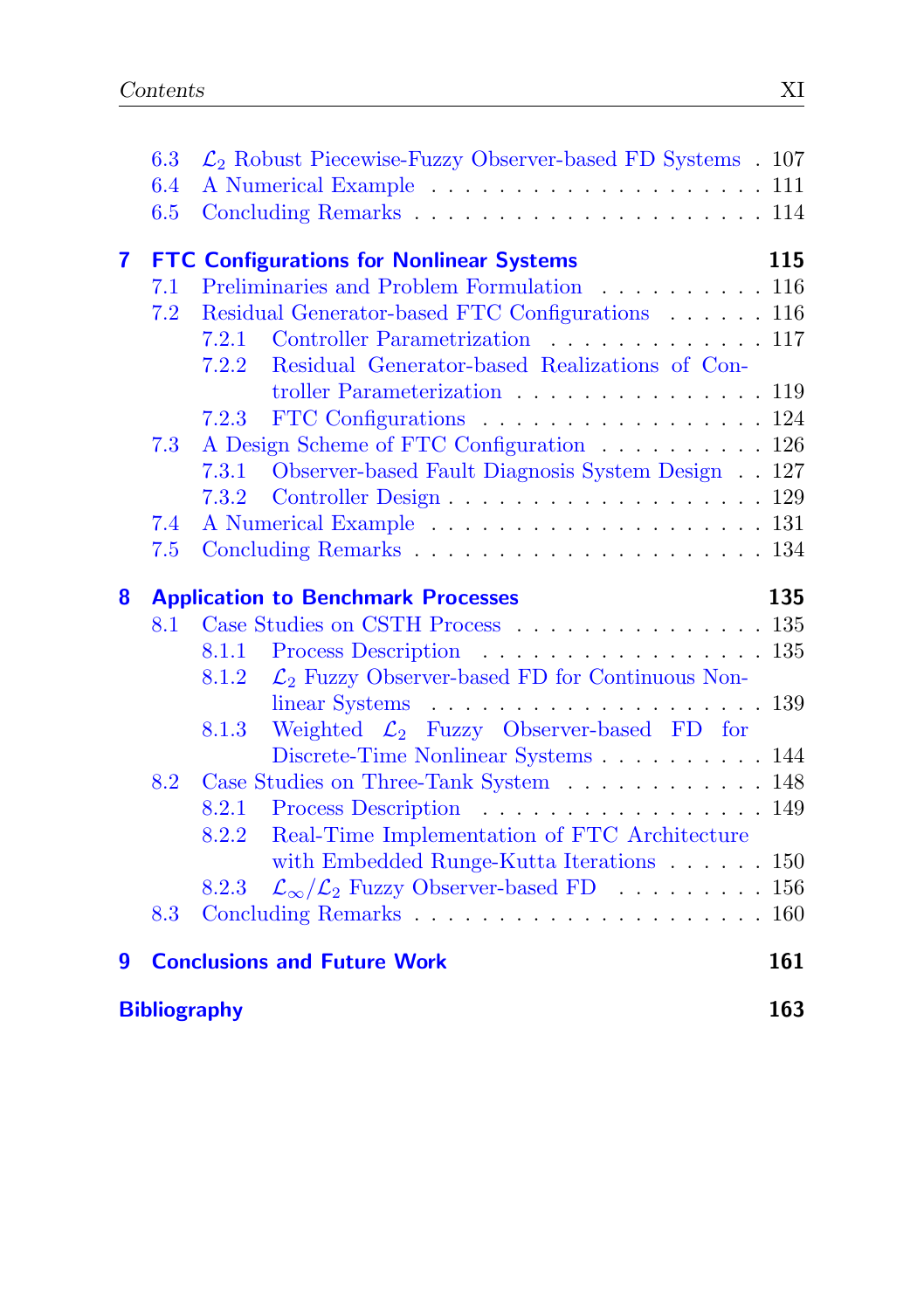|   | 6.3                        | $\mathcal{L}_2$ Robust Piecewise-Fuzzy Observer-based FD Systems . 107      |     |
|---|----------------------------|-----------------------------------------------------------------------------|-----|
|   | 6.4                        |                                                                             |     |
|   | 6.5                        |                                                                             |     |
| 7 |                            | <b>FTC Configurations for Nonlinear Systems</b>                             | 115 |
|   | 7.1                        | Preliminaries and Problem Formulation 116                                   |     |
|   | 7.2                        | Residual Generator-based FTC Configurations 116                             |     |
|   |                            | Controller Parametrization 117<br>7.2.1                                     |     |
|   |                            | Residual Generator-based Realizations of Con-<br>7.2.2                      |     |
|   |                            | troller Parameterization 119                                                |     |
|   |                            | 7.2.3<br>FTC Configurations $\ldots \ldots \ldots \ldots \ldots \ldots 124$ |     |
|   | 7.3                        | A Design Scheme of FTC Configuration 126                                    |     |
|   |                            | Observer-based Fault Diagnosis System Design 127<br>7.3.1                   |     |
|   |                            | 7.3.2                                                                       |     |
|   | 7.4                        |                                                                             |     |
|   | 7.5                        |                                                                             |     |
| 8 |                            | <b>Application to Benchmark Processes</b>                                   | 135 |
|   | 8.1                        | Case Studies on CSTH Process 135                                            |     |
|   |                            | Process Description 135<br>8.1.1                                            |     |
|   |                            | $\mathcal{L}_2$ Fuzzy Observer-based FD for Continuous Non-<br>8.1.2        |     |
|   |                            |                                                                             |     |
|   |                            | Weighted $\mathcal{L}_2$ Fuzzy Observer-based FD for<br>8.1.3               |     |
|   |                            | Discrete-Time Nonlinear Systems 144                                         |     |
|   | 8.2                        | Case Studies on Three-Tank System 148                                       |     |
|   |                            | 8.2.1<br>Process Description 149                                            |     |
|   |                            | Real-Time Implementation of FTC Architecture<br>8.2.2                       |     |
|   |                            | with Embedded Runge-Kutta Iterations 150                                    |     |
|   |                            | $\mathcal{L}_{\infty}/\mathcal{L}_2$ Fuzzy Observer-based FD 156<br>8.2.3   |     |
|   | 8.3                        |                                                                             |     |
| 9 |                            | <b>Conclusions and Future Work</b>                                          | 161 |
|   | <b>Bibliography</b><br>163 |                                                                             |     |
|   |                            |                                                                             |     |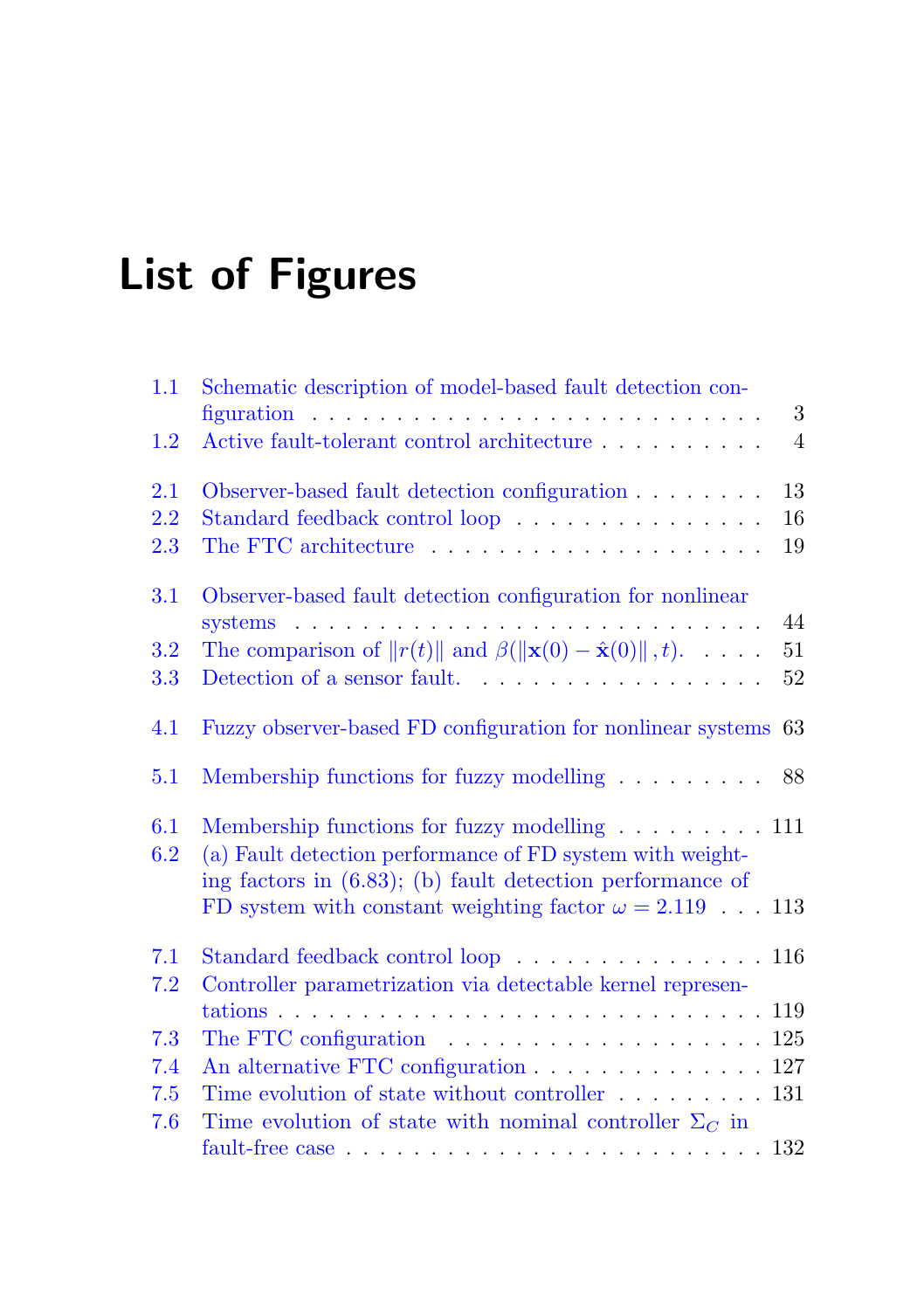# <span id="page-9-0"></span>List of Figures

| 1.1        | Schematic description of model-based fault detection con-<br>$\sqrt{3}$                                                                                                                                                                                           |
|------------|-------------------------------------------------------------------------------------------------------------------------------------------------------------------------------------------------------------------------------------------------------------------|
| $1.2\,$    | Active fault-tolerant control architecture $\ldots \ldots \ldots \ldots$<br>$\overline{4}$                                                                                                                                                                        |
| 2.1        | 13<br>Observer-based fault detection configuration                                                                                                                                                                                                                |
| 2.2        | Standard feedback control loop<br>16                                                                                                                                                                                                                              |
| 2.3        | 19                                                                                                                                                                                                                                                                |
| 3.1        | Observer-based fault detection configuration for nonlinear                                                                                                                                                                                                        |
|            | 44<br>systems                                                                                                                                                                                                                                                     |
| 3.2        | The comparison of $  r(t)  $ and $\beta(  \mathbf{x}(0) - \hat{\mathbf{x}}(0)  $ , t).<br>51                                                                                                                                                                      |
| 3.3        | 52<br>Detection of a sensor fault                                                                                                                                                                                                                                 |
| 4.1        | Fuzzy observer-based FD configuration for nonlinear systems<br>63                                                                                                                                                                                                 |
| 5.1        | Membership functions for fuzzy modelling<br>88                                                                                                                                                                                                                    |
| 6.1<br>6.2 | Membership functions for fuzzy modelling $\ldots \ldots \ldots 111$<br>(a) Fault detection performance of FD system with weight-<br>ing factors in $(6.83)$ ; (b) fault detection performance of<br>FD system with constant weighting factor $\omega = 2.119$ 113 |
| 7.1        | Standard feedback control loop 116                                                                                                                                                                                                                                |
| 7.2        | Controller parametrization via detectable kernel represen-                                                                                                                                                                                                        |
|            | 119                                                                                                                                                                                                                                                               |
| 7.3        | The FTC configuration $\ldots \ldots \ldots \ldots \ldots \ldots$<br>125                                                                                                                                                                                          |
| 7.4        | An alternative FTC configuration<br>127                                                                                                                                                                                                                           |
| 7.5        | Time evolution of state without controller $\dots \dots$<br>131                                                                                                                                                                                                   |
| 7.6        | Time evolution of state with nominal controller $\Sigma_C$ in                                                                                                                                                                                                     |
|            | fault-free case $\dots \dots \dots \dots \dots \dots \dots \dots \dots \dots \dots \dots 132$                                                                                                                                                                     |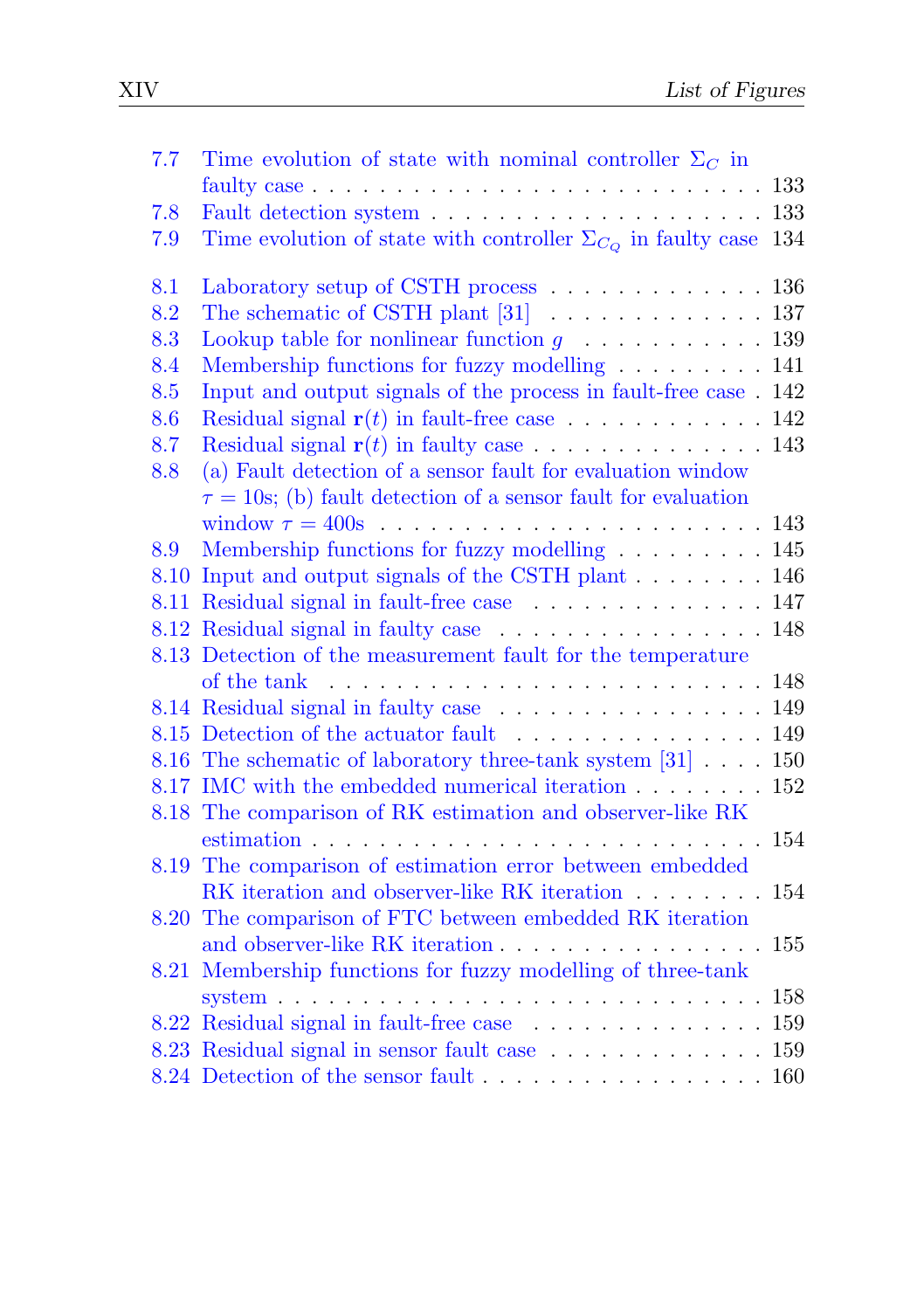| Time evolution of state with nominal controller $\Sigma_C$ in       |                                                                                                                                                                                                                                                                                                                                                                                                                                                                                                                                                                                                                                                                                                                                           |
|---------------------------------------------------------------------|-------------------------------------------------------------------------------------------------------------------------------------------------------------------------------------------------------------------------------------------------------------------------------------------------------------------------------------------------------------------------------------------------------------------------------------------------------------------------------------------------------------------------------------------------------------------------------------------------------------------------------------------------------------------------------------------------------------------------------------------|
|                                                                     | 133                                                                                                                                                                                                                                                                                                                                                                                                                                                                                                                                                                                                                                                                                                                                       |
|                                                                     | 133                                                                                                                                                                                                                                                                                                                                                                                                                                                                                                                                                                                                                                                                                                                                       |
|                                                                     | 134                                                                                                                                                                                                                                                                                                                                                                                                                                                                                                                                                                                                                                                                                                                                       |
|                                                                     |                                                                                                                                                                                                                                                                                                                                                                                                                                                                                                                                                                                                                                                                                                                                           |
|                                                                     |                                                                                                                                                                                                                                                                                                                                                                                                                                                                                                                                                                                                                                                                                                                                           |
|                                                                     |                                                                                                                                                                                                                                                                                                                                                                                                                                                                                                                                                                                                                                                                                                                                           |
|                                                                     |                                                                                                                                                                                                                                                                                                                                                                                                                                                                                                                                                                                                                                                                                                                                           |
|                                                                     |                                                                                                                                                                                                                                                                                                                                                                                                                                                                                                                                                                                                                                                                                                                                           |
|                                                                     |                                                                                                                                                                                                                                                                                                                                                                                                                                                                                                                                                                                                                                                                                                                                           |
|                                                                     |                                                                                                                                                                                                                                                                                                                                                                                                                                                                                                                                                                                                                                                                                                                                           |
| (a) Fault detection of a sensor fault for evaluation window         |                                                                                                                                                                                                                                                                                                                                                                                                                                                                                                                                                                                                                                                                                                                                           |
| $\tau = 10$ s; (b) fault detection of a sensor fault for evaluation |                                                                                                                                                                                                                                                                                                                                                                                                                                                                                                                                                                                                                                                                                                                                           |
|                                                                     |                                                                                                                                                                                                                                                                                                                                                                                                                                                                                                                                                                                                                                                                                                                                           |
|                                                                     |                                                                                                                                                                                                                                                                                                                                                                                                                                                                                                                                                                                                                                                                                                                                           |
| 8.10 Input and output signals of the CSTH plant 146                 |                                                                                                                                                                                                                                                                                                                                                                                                                                                                                                                                                                                                                                                                                                                                           |
|                                                                     |                                                                                                                                                                                                                                                                                                                                                                                                                                                                                                                                                                                                                                                                                                                                           |
|                                                                     |                                                                                                                                                                                                                                                                                                                                                                                                                                                                                                                                                                                                                                                                                                                                           |
| 8.13 Detection of the measurement fault for the temperature         |                                                                                                                                                                                                                                                                                                                                                                                                                                                                                                                                                                                                                                                                                                                                           |
|                                                                     | 148                                                                                                                                                                                                                                                                                                                                                                                                                                                                                                                                                                                                                                                                                                                                       |
| 8.14 Residual signal in faulty case 149                             |                                                                                                                                                                                                                                                                                                                                                                                                                                                                                                                                                                                                                                                                                                                                           |
| 8.15 Detection of the actuator fault 149                            |                                                                                                                                                                                                                                                                                                                                                                                                                                                                                                                                                                                                                                                                                                                                           |
| 8.16 The schematic of laboratory three-tank system $[31]$ 150       |                                                                                                                                                                                                                                                                                                                                                                                                                                                                                                                                                                                                                                                                                                                                           |
|                                                                     | 152                                                                                                                                                                                                                                                                                                                                                                                                                                                                                                                                                                                                                                                                                                                                       |
|                                                                     |                                                                                                                                                                                                                                                                                                                                                                                                                                                                                                                                                                                                                                                                                                                                           |
|                                                                     | 154                                                                                                                                                                                                                                                                                                                                                                                                                                                                                                                                                                                                                                                                                                                                       |
| 8.19 The comparison of estimation error between embedded            |                                                                                                                                                                                                                                                                                                                                                                                                                                                                                                                                                                                                                                                                                                                                           |
| RK iteration and observer-like RK iteration                         | 154                                                                                                                                                                                                                                                                                                                                                                                                                                                                                                                                                                                                                                                                                                                                       |
|                                                                     |                                                                                                                                                                                                                                                                                                                                                                                                                                                                                                                                                                                                                                                                                                                                           |
| and observer-like RK iteration                                      | 155                                                                                                                                                                                                                                                                                                                                                                                                                                                                                                                                                                                                                                                                                                                                       |
|                                                                     |                                                                                                                                                                                                                                                                                                                                                                                                                                                                                                                                                                                                                                                                                                                                           |
|                                                                     | 158                                                                                                                                                                                                                                                                                                                                                                                                                                                                                                                                                                                                                                                                                                                                       |
|                                                                     |                                                                                                                                                                                                                                                                                                                                                                                                                                                                                                                                                                                                                                                                                                                                           |
| 8.23 Residual signal in sensor fault case 159                       |                                                                                                                                                                                                                                                                                                                                                                                                                                                                                                                                                                                                                                                                                                                                           |
| 8.24 Detection of the sensor fault 160                              |                                                                                                                                                                                                                                                                                                                                                                                                                                                                                                                                                                                                                                                                                                                                           |
|                                                                     | Time evolution of state with controller $\Sigma_{Co}$ in faulty case<br>Laboratory setup of CSTH process $\ldots \ldots \ldots \ldots 136$<br>Lookup table for nonlinear function $q \dots \dots \dots \dots 139$<br>Membership functions for fuzzy modelling 141<br>Input and output signals of the process in fault-free case. 142<br>Residual signal $r(t)$ in fault-free case 142<br>Residual signal $r(t)$ in faulty case 143<br>Membership functions for fuzzy modelling 145<br>8.17 IMC with the embedded numerical iteration $\ldots \ldots \ldots$<br>8.18 The comparison of RK estimation and observer-like RK<br>The comparison of FTC between embedded RK iteration<br>Membership functions for fuzzy modelling of three-tank |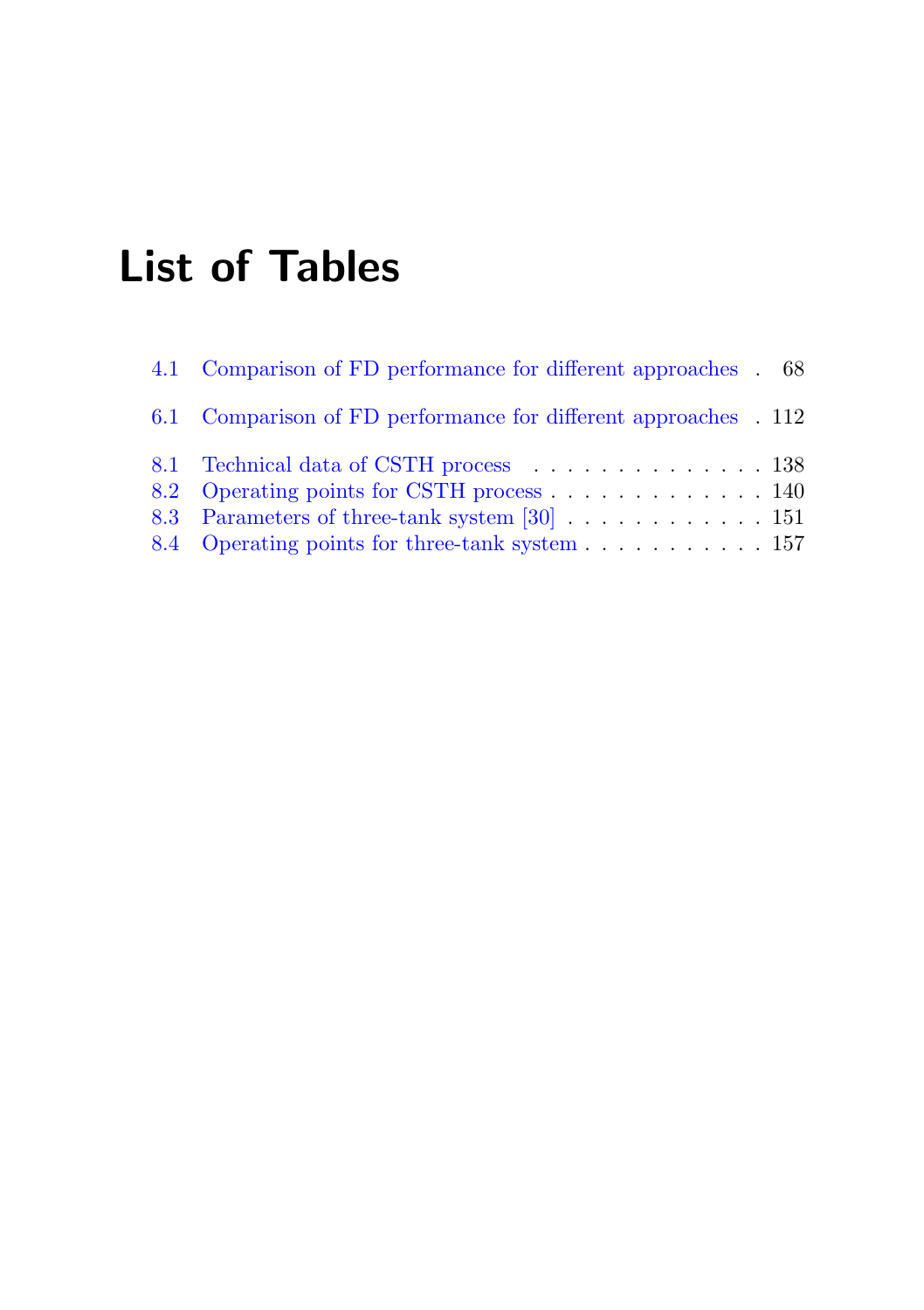## <span id="page-11-0"></span>List of Tables

| 4.1 Comparison of FD performance for different approaches . 68  |  |
|-----------------------------------------------------------------|--|
| 6.1 Comparison of FD performance for different approaches . 112 |  |
| 8.1 Technical data of CSTH process 138                          |  |
| 8.2 Operating points for CSTH process 140                       |  |
| 8.3 Parameters of three-tank system [30] 151                    |  |
| 8.4 Operating points for three-tank system 157                  |  |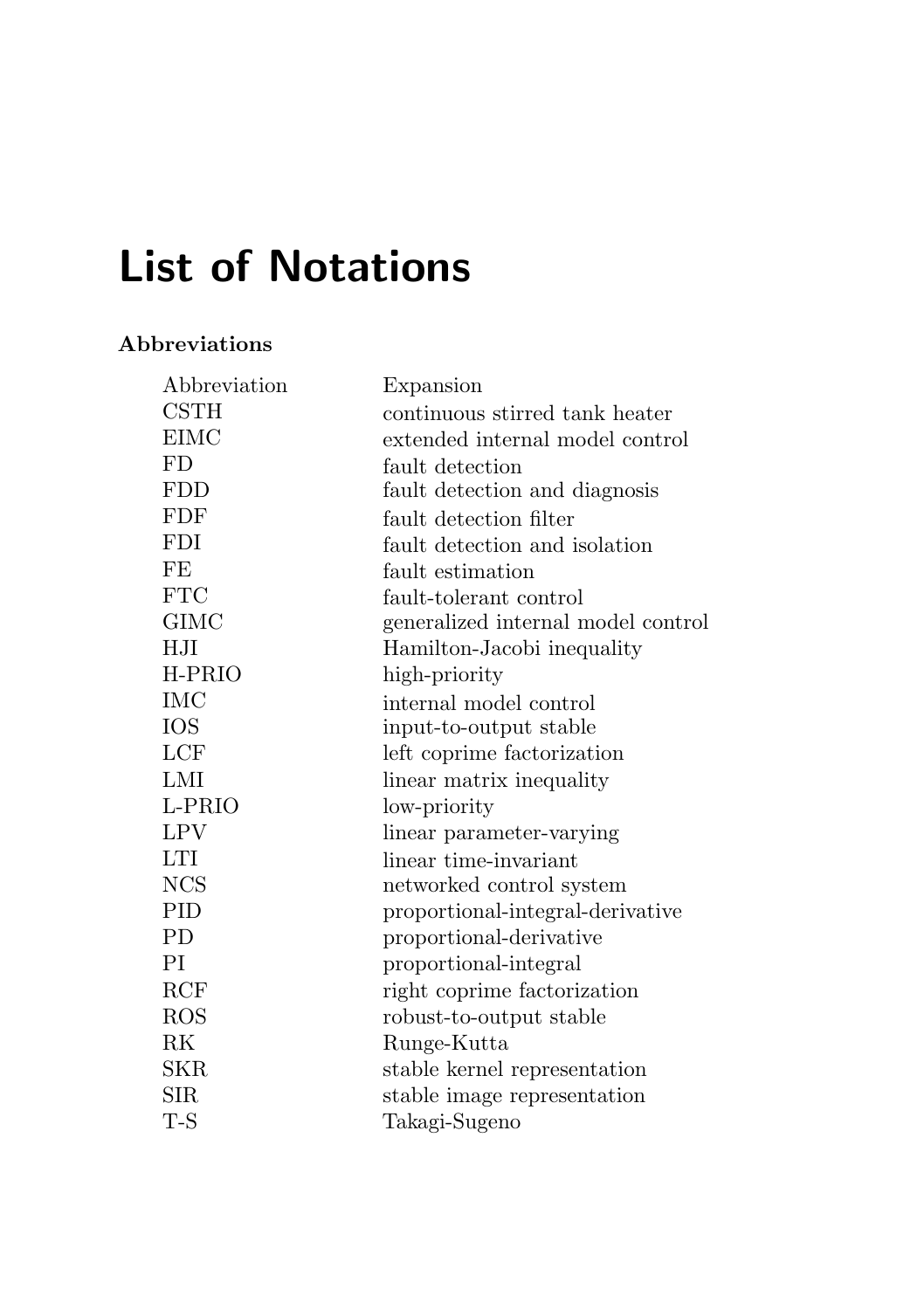## List of Notations

#### Abbreviations

| Abbreviation | Expansion                          |
|--------------|------------------------------------|
| <b>CSTH</b>  | continuous stirred tank heater     |
| EIMC         | extended internal model control    |
| FD           | fault detection                    |
| <b>FDD</b>   | fault detection and diagnosis      |
| FDF          | fault detection filter             |
| <b>FDI</b>   | fault detection and isolation      |
| FE           | fault estimation                   |
| <b>FTC</b>   | fault-tolerant control             |
| <b>GIMC</b>  | generalized internal model control |
| H.JI         | Hamilton-Jacobi inequality         |
| H-PRIO       | high-priority                      |
| IMC          | internal model control             |
| <b>IOS</b>   | input-to-output stable             |
| LCF          | left coprime factorization         |
| LMI          | linear matrix inequality           |
| L-PRIO       | low-priority                       |
| LPV          | linear parameter-varying           |
| LTI          | linear time-invariant              |
| <b>NCS</b>   | networked control system           |
| PID.         | proportional-integral-derivative   |
| PD           | proportional-derivative            |
| РI           | proportional-integral              |
| RCF          | right coprime factorization        |
| <b>ROS</b>   | robust-to-output stable            |
| RК           | Runge-Kutta                        |
| SKR.         | stable kernel representation       |
| SIR.         | stable image representation        |
| T-S          | Takagi-Sugeno                      |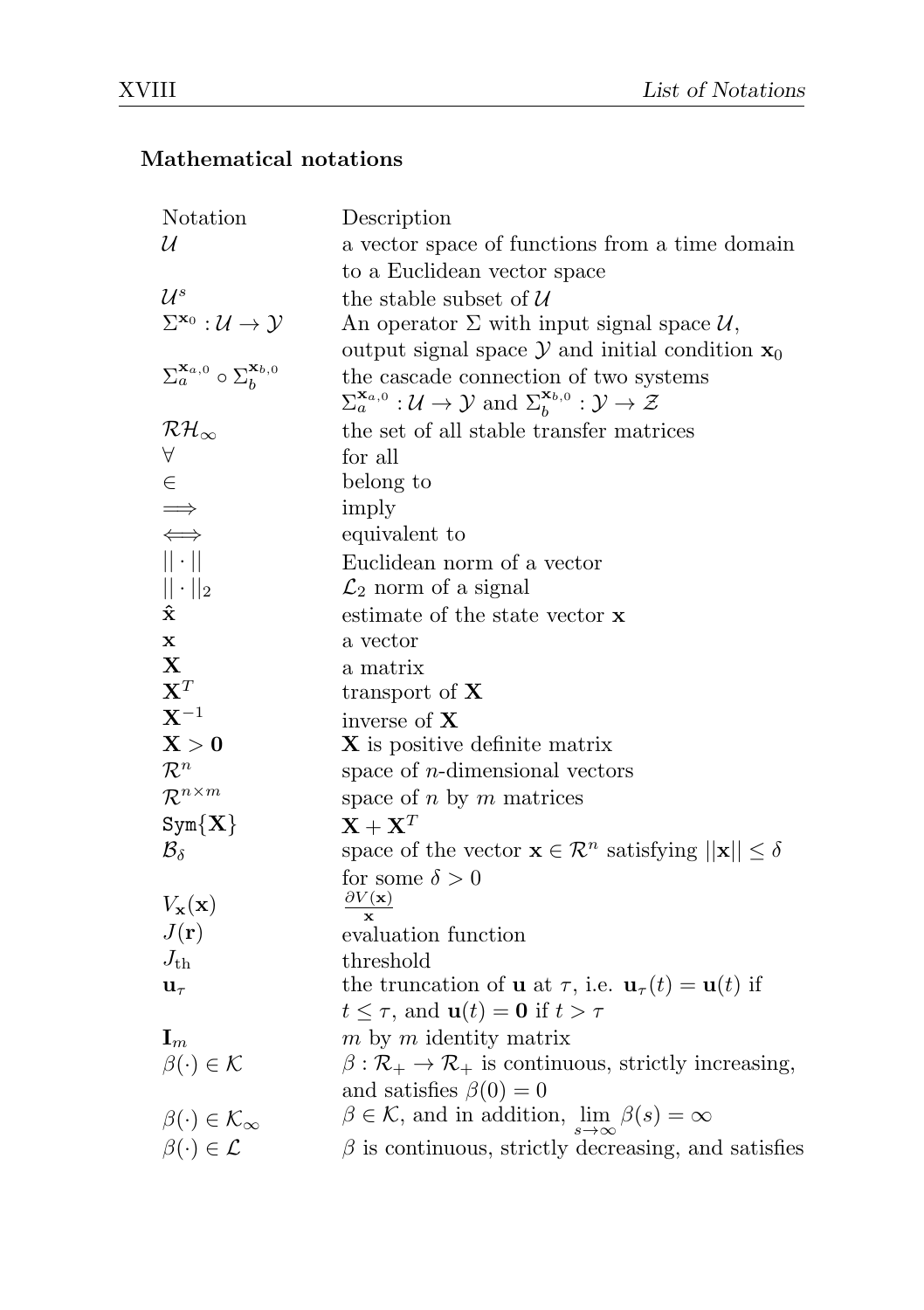#### Mathematical notations

| Notation                                                                | Description                                                                                                               |
|-------------------------------------------------------------------------|---------------------------------------------------------------------------------------------------------------------------|
| U                                                                       | a vector space of functions from a time domain                                                                            |
|                                                                         | to a Euclidean vector space                                                                                               |
| $\mathcal{U}^s$                                                         | the stable subset of $U$                                                                                                  |
| $\Sigma^{\mathbf{x}_0} : \mathcal{U} \to \mathcal{Y}$                   | An operator $\Sigma$ with input signal space $\mathcal{U}$ ,                                                              |
|                                                                         | output signal space $\mathcal Y$ and initial condition $\mathbf x_0$                                                      |
| $\Sigma^{\mathbf{x}_{a,0}}_a \circ \Sigma^{\mathbf{x}_{b,0}}_b$         | the cascade connection of two systems                                                                                     |
|                                                                         | $\Sigma^{\mathbf{x}_{a,0}}_a: \mathcal{U} \to \mathcal{Y}$ and $\Sigma^{\mathbf{x}_{b,0}}_b: \mathcal{Y} \to \mathcal{Z}$ |
| $\mathcal{RH}_{\infty}$                                                 | the set of all stable transfer matrices                                                                                   |
| A                                                                       | for all                                                                                                                   |
|                                                                         | belong to                                                                                                                 |
|                                                                         | imply                                                                                                                     |
| $\begin{array}{c}\n\in \\ \implies \\ \Longleftrightarrow\n\end{array}$ | equivalent to                                                                                                             |
| $  \cdot  $                                                             | Euclidean norm of a vector                                                                                                |
| $  \cdot  _2$                                                           | $\mathcal{L}_2$ norm of a signal                                                                                          |
| Ŷ                                                                       | estimate of the state vector <b>x</b>                                                                                     |
| $\mathbf x$                                                             | a vector                                                                                                                  |
| $\mathbf X$                                                             | a matrix                                                                                                                  |
| $\mathbf{X}^T$                                                          | transport of $\mathbf X$                                                                                                  |
| $\mathrm{X}^{-1}$                                                       | inverse of $X$                                                                                                            |
| X > 0                                                                   | X is positive definite matrix                                                                                             |
| $\mathcal{R}^n$                                                         | space of $n$ -dimensional vectors                                                                                         |
| $\mathbb{R}^{n \times m}$                                               | space of $n$ by $m$ matrices                                                                                              |
| $Sym{X}$                                                                | $\mathbf{X} + \mathbf{X}^T$                                                                                               |
| $\mathcal{B}_{\delta}$                                                  | space of the vector $\mathbf{x} \in \mathcal{R}^n$ satisfying $  \mathbf{x}   \leq \delta$                                |
|                                                                         | for some $\delta > 0$                                                                                                     |
| $V_{\mathbf{x}}(\mathbf{x})$                                            | $\frac{\partial V(\mathbf{x})}{\mathbf{x}}$                                                                               |
| $J(\mathbf{r})$                                                         | evaluation function                                                                                                       |
| $J_{\rm th}$                                                            | threshold                                                                                                                 |
| $\mathbf{u}_{\tau}$                                                     | the truncation of <b>u</b> at $\tau$ , i.e. $\mathbf{u}_{\tau}(t) = \mathbf{u}(t)$ if                                     |
|                                                                         | $t \leq \tau$ , and $\mathbf{u}(t) = \mathbf{0}$ if $t > \tau$                                                            |
| $\mathbf{I}_m$                                                          | $m$ by $m$ identity matrix                                                                                                |
| $\beta(\cdot) \in \mathcal{K}$                                          | $\beta: \mathcal{R}_+ \to \mathcal{R}_+$ is continuous, strictly increasing,                                              |
|                                                                         | and satisfies $\beta(0) = 0$                                                                                              |
| $\beta(\cdot) \in \mathcal{K}_{\infty}$                                 | $\beta \in \mathcal{K}$ , and in addition, $\lim_{s \to \infty} \beta(s) = \infty$                                        |
| $\beta(\cdot) \in \mathcal{L}$                                          | $\beta$ is continuous, strictly decreasing, and satisfies                                                                 |
|                                                                         |                                                                                                                           |